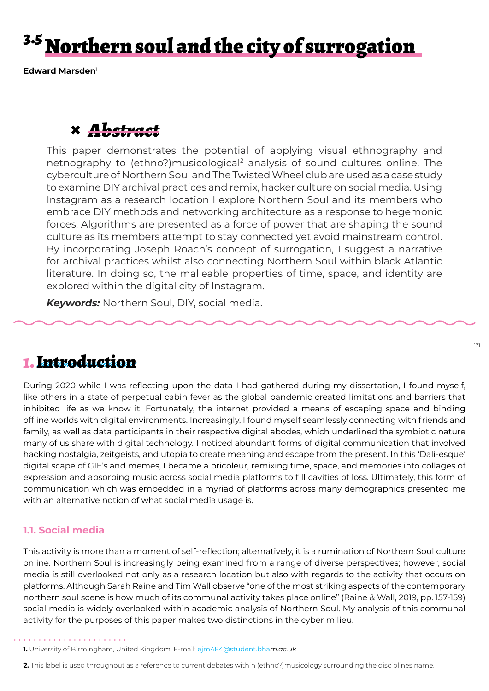# <sup>3.5</sup> Northern soul and the city of surrogation

**Edward Marsden**<sup>1</sup>

# **×** *Abstract*

This paper demonstrates the potential of applying visual ethnography and netnography to (ethno?)musicological<sup>2</sup> analysis of sound cultures online. The cyberculture of Northern Soul and The Twisted Wheel club are used as a case study to examine DIY archival practices and remix, hacker culture on social media. Using Instagram as a research location I explore Northern Soul and its members who embrace DIY methods and networking architecture as a response to hegemonic forces. Algorithms are presented as a force of power that are shaping the sound culture as its members attempt to stay connected yet avoid mainstream control. By incorporating Joseph Roach's concept of surrogation, I suggest a narrative for archival practices whilst also connecting Northern Soul within black Atlantic literature. In doing so, the malleable properties of time, space, and identity are explored within the digital city of Instagram.

*Keywords:* Northern Soul, DIY, social media.

## 1. Introduction

During 2020 while I was reflecting upon the data I had gathered during my dissertation, I found myself, like others in a state of perpetual cabin fever as the global pandemic created limitations and barriers that inhibited life as we know it. Fortunately, the internet provided a means of escaping space and binding offline worlds with digital environments. Increasingly, I found myself seamlessly connecting with friends and family, as well as data participants in their respective digital abodes, which underlined the symbiotic nature many of us share with digital technology. I noticed abundant forms of digital communication that involved hacking nostalgia, zeitgeists, and utopia to create meaning and escape from the present. In this 'Dali-esque' digital scape of GIF's and memes, I became a bricoleur, remixing time, space, and memories into collages of expression and absorbing music across social media platforms to fill cavities of loss. Ultimately, this form of communication which was embedded in a myriad of platforms across many demographics presented me with an alternative notion of what social media usage is.

### **1.1. Social media**

This activity is more than a moment of self-reflection; alternatively, it is a rumination of Northern Soul culture online. Northern Soul is increasingly being examined from a range of diverse perspectives; however, social media is still overlooked not only as a research location but also with regards to the activity that occurs on platforms. Although Sarah Raine and Tim Wall observe "one of the most striking aspects of the contemporary northern soul scene is how much of its communal activity takes place online" (Raine & Wall, 2019, pp. 157-159) social media is widely overlooked within academic analysis of Northern Soul. My analysis of this communal activity for the purposes of this paper makes two distinctions in the cyber milieu.

- **1.** University of Birmingham, United Kingdom. E-mail: ejm484@student.bha*m.ac.uk*
- **2.** This label is used throughout as a reference to current debates within (ethno?)musicology surrounding the disciplines name.

171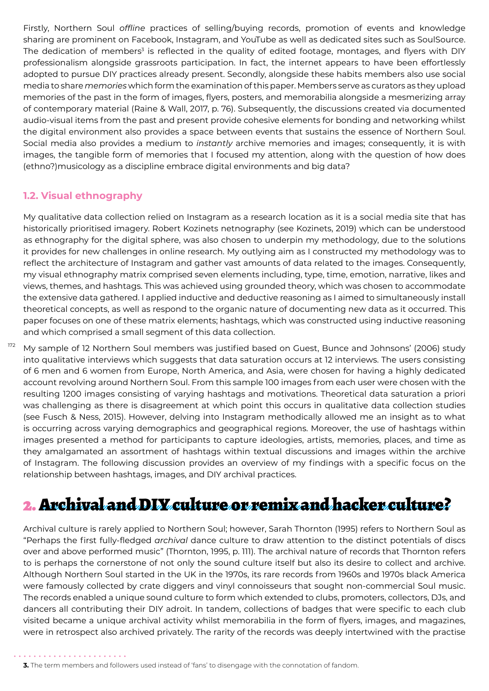Firstly, Northern Soul *offline* practices of selling/buying records, promotion of events and knowledge sharing are prominent on Facebook, Instagram, and YouTube as well as dedicated sites such as SoulSource. The dedication of members<sup>3</sup> is reflected in the quality of edited footage, montages, and flyers with DIY professionalism alongside grassroots participation. In fact, the internet appears to have been effortlessly adopted to pursue DIY practices already present. Secondly, alongside these habits members also use social media to share *memories* which form the examination of this paper. Members serve as curators as they upload memories of the past in the form of images, flyers, posters, and memorabilia alongside a mesmerizing array of contemporary material (Raine & Wall, 2017, p. 76). Subsequently, the discussions created via documented audio-visual items from the past and present provide cohesive elements for bonding and networking whilst the digital environment also provides a space between events that sustains the essence of Northern Soul. Social media also provides a medium to *instantly* archive memories and images; consequently, it is with images, the tangible form of memories that I focused my attention, along with the question of how does (ethno?)musicology as a discipline embrace digital environments and big data?

### **1.2. Visual ethnography**

My qualitative data collection relied on Instagram as a research location as it is a social media site that has historically prioritised imagery. Robert Kozinets netnography (see Kozinets, 2019) which can be understood as ethnography for the digital sphere, was also chosen to underpin my methodology, due to the solutions it provides for new challenges in online research. My outlying aim as I constructed my methodology was to reflect the architecture of Instagram and gather vast amounts of data related to the images. Consequently, my visual ethnography matrix comprised seven elements including, type, time, emotion, narrative, likes and views, themes, and hashtags. This was achieved using grounded theory, which was chosen to accommodate the extensive data gathered. I applied inductive and deductive reasoning as I aimed to simultaneously install theoretical concepts, as well as respond to the organic nature of documenting new data as it occurred. This paper focuses on one of these matrix elements; hashtags, which was constructed using inductive reasoning and which comprised a small segment of this data collection.

172 My sample of 12 Northern Soul members was justified based on Guest, Bunce and Johnsons' (2006) study into qualitative interviews which suggests that data saturation occurs at 12 interviews. The users consisting of 6 men and 6 women from Europe, North America, and Asia, were chosen for having a highly dedicated account revolving around Northern Soul. From this sample 100 images from each user were chosen with the resulting 1200 images consisting of varying hashtags and motivations. Theoretical data saturation a priori was challenging as there is disagreement at which point this occurs in qualitative data collection studies (see Fusch & Ness, 2015). However, delving into Instagram methodically allowed me an insight as to what is occurring across varying demographics and geographical regions. Moreover, the use of hashtags within images presented a method for participants to capture ideologies, artists, memories, places, and time as they amalgamated an assortment of hashtags within textual discussions and images within the archive of Instagram. The following discussion provides an overview of my findings with a specific focus on the relationship between hashtags, images, and DIY archival practices.

# 2. Archival and DIY culture or remix and hacker culture?

Archival culture is rarely applied to Northern Soul; however, Sarah Thornton (1995) refers to Northern Soul as "Perhaps the first fully-fledged *archival* dance culture to draw attention to the distinct potentials of discs over and above performed music" (Thornton, 1995, p. 111). The archival nature of records that Thornton refers to is perhaps the cornerstone of not only the sound culture itself but also its desire to collect and archive. Although Northern Soul started in the UK in the 1970s, its rare records from 1960s and 1970s black America were famously collected by crate diggers and vinyl connoisseurs that sought non-commercial Soul music. The records enabled a unique sound culture to form which extended to clubs, promoters, collectors, DJs, and dancers all contributing their DIY adroit. In tandem, collections of badges that were specific to each club visited became a unique archival activity whilst memorabilia in the form of flyers, images, and magazines, were in retrospect also archived privately. The rarity of the records was deeply intertwined with the practise

**3.** The term members and followers used instead of 'fans' to disengage with the connotation of fandom.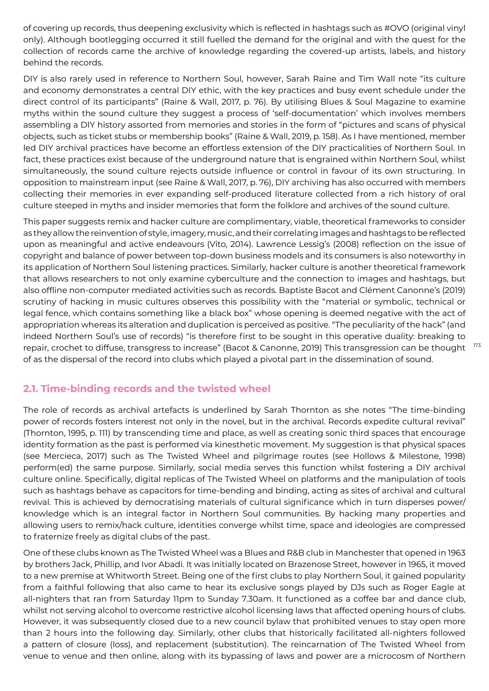of covering up records, thus deepening exclusivity which is reflected in hashtags such as #OVO (original vinyl only). Although bootlegging occurred it still fuelled the demand for the original and with the quest for the collection of records came the archive of knowledge regarding the covered-up artists, labels, and history behind the records.

DIY is also rarely used in reference to Northern Soul, however, Sarah Raine and Tim Wall note "its culture and economy demonstrates a central DIY ethic, with the key practices and busy event schedule under the direct control of its participants" (Raine & Wall, 2017, p. 76). By utilising Blues & Soul Magazine to examine myths within the sound culture they suggest a process of 'self-documentation' which involves members assembling a DIY history assorted from memories and stories in the form of "pictures and scans of physical objects, such as ticket stubs or membership books" (Raine & Wall, 2019, p. 158). As I have mentioned, member led DIY archival practices have become an effortless extension of the DIY practicalities of Northern Soul. In fact, these practices exist because of the underground nature that is engrained within Northern Soul, whilst simultaneously, the sound culture rejects outside influence or control in favour of its own structuring. In opposition to mainstream input (see Raine & Wall, 2017, p. 76), DIY archiving has also occurred with members collecting their memories in ever expanding self-produced literature collected from a rich history of oral culture steeped in myths and insider memories that form the folklore and archives of the sound culture.

This paper suggests remix and hacker culture are complimentary, viable, theoretical frameworks to consider as they allow the reinvention of style, imagery, music, and their correlating images and hashtags to be reflected upon as meaningful and active endeavours (Vito, 2014). Lawrence Lessig's (2008) reflection on the issue of copyright and balance of power between top-down business models and its consumers is also noteworthy in its application of Northern Soul listening practices. Similarly, hacker culture is another theoretical framework that allows researchers to not only examine cyberculture and the connection to images and hashtags, but also offline non-computer mediated activities such as records. Baptiste Bacot and Clément Canonne's (2019) scrutiny of hacking in music cultures observes this possibility with the "material or symbolic, technical or legal fence, which contains something like a black box" whose opening is deemed negative with the act of appropriation whereas its alteration and duplication is perceived as positive. "The peculiarity of the hack" (and indeed Northern Soul's use of records) "is therefore first to be sought in this operative duality: breaking to repair, crochet to diffuse, transgress to increase" (Bacot & Canonne, 2019) This transgression can be thought of as the dispersal of the record into clubs which played a pivotal part in the dissemination of sound.

### **2.1. Time-binding records and the twisted wheel**

The role of records as archival artefacts is underlined by Sarah Thornton as she notes "The time-binding power of records fosters interest not only in the novel, but in the archival. Records expedite cultural revival" (Thornton, 1995, p. 111) by transcending time and place, as well as creating sonic third spaces that encourage identity formation as the past is performed via kinesthetic movement. My suggestion is that physical spaces (see Mercieca, 2017) such as The Twisted Wheel and pilgrimage routes (see Hollows & Milestone, 1998) perform(ed) the same purpose. Similarly, social media serves this function whilst fostering a DIY archival culture online. Specifically, digital replicas of The Twisted Wheel on platforms and the manipulation of tools such as hashtags behave as capacitors for time-bending and binding, acting as sites of archival and cultural revival. This is achieved by democratising materials of cultural significance which in turn disperses power/ knowledge which is an integral factor in Northern Soul communities. By hacking many properties and allowing users to remix/hack culture, identities converge whilst time, space and ideologies are compressed to fraternize freely as digital clubs of the past.

One of these clubs known as The Twisted Wheel was a Blues and R&B club in Manchester that opened in 1963 by brothers Jack, Phillip, and Ivor Abadi. It was initially located on Brazenose Street, however in 1965, it moved to a new premise at Whitworth Street. Being one of the first clubs to play Northern Soul, it gained popularity from a faithful following that also came to hear its exclusive songs played by DJs such as Roger Eagle at all-nighters that ran from Saturday 11pm to Sunday 7.30am. It functioned as a coffee bar and dance club, whilst not serving alcohol to overcome restrictive alcohol licensing laws that affected opening hours of clubs. However, it was subsequently closed due to a new council bylaw that prohibited venues to stay open more than 2 hours into the following day. Similarly, other clubs that historically facilitated all-nighters followed a pattern of closure (loss), and replacement (substitution). The reincarnation of The Twisted Wheel from venue to venue and then online, along with its bypassing of laws and power are a microcosm of Northern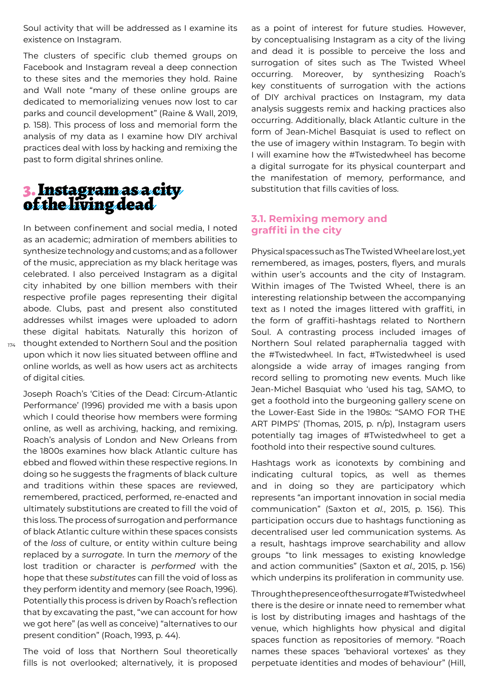Soul activity that will be addressed as I examine its existence on Instagram.

The clusters of specific club themed groups on Facebook and Instagram reveal a deep connection to these sites and the memories they hold. Raine and Wall note "many of these online groups are dedicated to memorializing venues now lost to car parks and council development" (Raine & Wall, 2019, p. 158). This process of loss and memorial form the analysis of my data as I examine how DIY archival practices deal with loss by hacking and remixing the past to form digital shrines online.

### 3. Instagram as a city of the living dead

174 thought extended to Northern Soul and the position In between confinement and social media, I noted as an academic; admiration of members abilities to synthesize technology and customs; and as a follower of the music, appreciation as my black heritage was celebrated. I also perceived Instagram as a digital city inhabited by one billion members with their respective profile pages representing their digital abode. Clubs, past and present also constituted addresses whilst images were uploaded to adorn these digital habitats. Naturally this horizon of upon which it now lies situated between offline and online worlds, as well as how users act as architects of digital cities.

Joseph Roach's 'Cities of the Dead: Circum-Atlantic Performance' (1996) provided me with a basis upon which I could theorise how members were forming online, as well as archiving, hacking, and remixing. Roach's analysis of London and New Orleans from the 1800s examines how black Atlantic culture has ebbed and flowed within these respective regions. In doing so he suggests the fragments of black culture and traditions within these spaces are reviewed, remembered, practiced, performed, re-enacted and ultimately substitutions are created to fill the void of this loss. The process of surrogation and performance of black Atlantic culture within these spaces consists of the *loss* of culture, or entity within culture being replaced by a *surrogate*. In turn the *memory* of the lost tradition or character is *performed* with the hope that these *substitutes* can fill the void of loss as they perform identity and memory (see Roach, 1996). Potentially this process is driven by Roach's reflection that by excavating the past, "we can account for how we got here" (as well as conceive) "alternatives to our present condition" (Roach, 1993, p. 44).

The void of loss that Northern Soul theoretically fills is not overlooked; alternatively, it is proposed as a point of interest for future studies. However, by conceptualising Instagram as a city of the living and dead it is possible to perceive the loss and surrogation of sites such as The Twisted Wheel occurring. Moreover, by synthesizing Roach's key constituents of surrogation with the actions of DIY archival practices on Instagram, my data analysis suggests remix and hacking practices also occurring. Additionally, black Atlantic culture in the form of Jean-Michel Basquiat is used to reflect on the use of imagery within Instagram. To begin with I will examine how the #Twistedwheel has become a digital surrogate for its physical counterpart and the manifestation of memory, performance, and substitution that fills cavities of loss.

### **3.1. Remixing memory and graffiti in the city**

Physical spaces such as The Twisted Wheel are lost, yet remembered, as images, posters, flyers, and murals within user's accounts and the city of Instagram. Within images of The Twisted Wheel, there is an interesting relationship between the accompanying text as I noted the images littered with graffiti, in the form of graffiti-hashtags related to Northern Soul. A contrasting process included images of Northern Soul related paraphernalia tagged with the #Twistedwheel. In fact, #Twistedwheel is used alongside a wide array of images ranging from record selling to promoting new events. Much like Jean-Michel Basquiat who 'used his tag, SAMO, to get a foothold into the burgeoning gallery scene on the Lower-East Side in the 1980s: "SAMO FOR THE ART PIMPS' (Thomas, 2015, p. n/p), Instagram users potentially tag images of #Twistedwheel to get a foothold into their respective sound cultures.

Hashtags work as iconotexts by combining and indicating cultural topics, as well as themes and in doing so they are participatory which represents "an important innovation in social media communication" (Saxton et *al.*, 2015, p. 156). This participation occurs due to hashtags functioning as decentralised user led communication systems. As a result, hashtags improve searchability and allow groups "to link messages to existing knowledge and action communities" (Saxton et *al.,* 2015, p. 156) which underpins its proliferation in community use.

Through the presence of the surrogate #Twistedwheel there is the desire or innate need to remember what is lost by distributing images and hashtags of the venue, which highlights how physical and digital spaces function as repositories of memory. "Roach names these spaces 'behavioral vortexes' as they perpetuate identities and modes of behaviour" (Hill,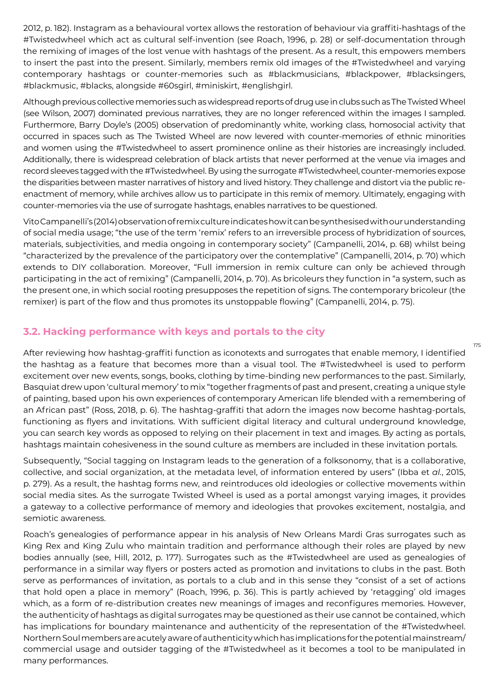2012, p. 182). Instagram as a behavioural vortex allows the restoration of behaviour via graffiti-hashtags of the #Twistedwheel which act as cultural self-invention (see Roach, 1996, p. 28) or self-documentation through the remixing of images of the lost venue with hashtags of the present. As a result, this empowers members to insert the past into the present. Similarly, members remix old images of the #Twistedwheel and varying contemporary hashtags or counter-memories such as #blackmusicians, #blackpower, #blacksingers, #blackmusic, #blacks, alongside #60sgirl, #miniskirt, #englishgirl.

Although previous collective memories such as widespread reports of drug use in clubs such as The Twisted Wheel (see Wilson, 2007) dominated previous narratives, they are no longer referenced within the images I sampled. Furthermore, Barry Doyle's (2005) observation of predominantly white, working class, homosocial activity that occurred in spaces such as The Twisted Wheel are now levered with counter-memories of ethnic minorities and women using the #Twistedwheel to assert prominence online as their histories are increasingly included. Additionally, there is widespread celebration of black artists that never performed at the venue via images and record sleeves tagged with the #Twistedwheel. By using the surrogate #Twistedwheel, counter-memories expose the disparities between master narratives of history and lived history. They challenge and distort via the public reenactment of memory, while archives allow us to participate in this remix of memory. Ultimately, engaging with counter-memories via the use of surrogate hashtags, enables narratives to be questioned.

Vito Campanelli's (2014) observation of remix culture indicates how it can be synthesised with our understanding of social media usage; "the use of the term 'remix' refers to an irreversible process of hybridization of sources, materials, subjectivities, and media ongoing in contemporary society" (Campanelli, 2014, p. 68) whilst being "characterized by the prevalence of the participatory over the contemplative" (Campanelli, 2014, p. 70) which extends to DIY collaboration. Moreover, "Full immersion in remix culture can only be achieved through participating in the act of remixing" (Campanelli, 2014, p. 70). As bricoleurs they function in "a system, such as the present one, in which social rooting presupposes the repetition of signs. The contemporary bricoleur (the remixer) is part of the flow and thus promotes its unstoppable flowing" (Campanelli, 2014, p. 75).

### **3.2. Hacking performance with keys and portals to the city**

After reviewing how hashtag-graffiti function as iconotexts and surrogates that enable memory, I identified the hashtag as a feature that becomes more than a visual tool. The #Twistedwheel is used to perform excitement over new events, songs, books, clothing by time-binding new performances to the past. Similarly, Basquiat drew upon 'cultural memory' to mix "together fragments of past and present, creating a unique style of painting, based upon his own experiences of contemporary American life blended with a remembering of an African past" (Ross, 2018, p. 6). The hashtag-graffiti that adorn the images now become hashtag-portals, functioning as flyers and invitations. With sufficient digital literacy and cultural underground knowledge, you can search key words as opposed to relying on their placement in text and images. By acting as portals, hashtags maintain cohesiveness in the sound culture as members are included in these invitation portals.

Subsequently, "Social tagging on Instagram leads to the generation of a folksonomy, that is a collaborative, collective, and social organization, at the metadata level, of information entered by users" (Ibba et *al.*, 2015, p. 279). As a result, the hashtag forms new, and reintroduces old ideologies or collective movements within social media sites. As the surrogate Twisted Wheel is used as a portal amongst varying images, it provides a gateway to a collective performance of memory and ideologies that provokes excitement, nostalgia, and semiotic awareness.

Roach's genealogies of performance appear in his analysis of New Orleans Mardi Gras surrogates such as King Rex and King Zulu who maintain tradition and performance although their roles are played by new bodies annually (see, Hill, 2012, p. 177). Surrogates such as the #Twistedwheel are used as genealogies of performance in a similar way flyers or posters acted as promotion and invitations to clubs in the past. Both serve as performances of invitation, as portals to a club and in this sense they "consist of a set of actions that hold open a place in memory" (Roach, 1996, p. 36). This is partly achieved by 'retagging' old images which, as a form of re-distribution creates new meanings of images and reconfigures memories. However, the authenticity of hashtags as digital surrogates may be questioned as their use cannot be contained, which has implications for boundary maintenance and authenticity of the representation of the #Twistedwheel. Northern Soul members are acutely aware of authenticity which has implications for the potential mainstream/ commercial usage and outsider tagging of the #Twistedwheel as it becomes a tool to be manipulated in many performances.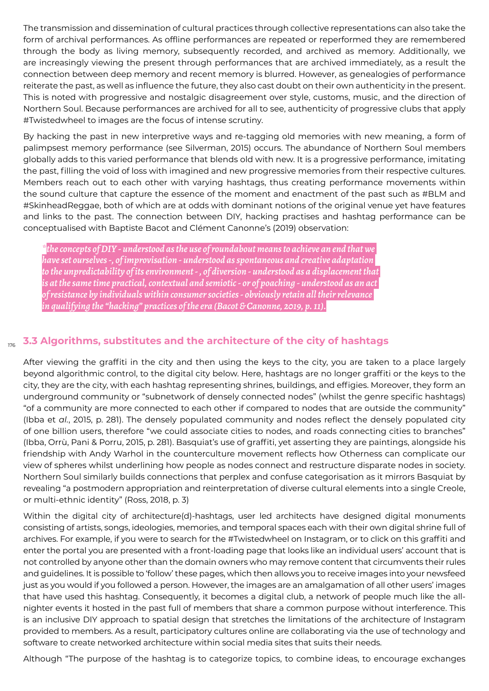The transmission and dissemination of cultural practices through collective representations can also take the form of archival performances. As offline performances are repeated or reperformed they are remembered through the body as living memory, subsequently recorded, and archived as memory. Additionally, we are increasingly viewing the present through performances that are archived immediately, as a result the connection between deep memory and recent memory is blurred. However, as genealogies of performance reiterate the past, as well as influence the future, they also cast doubt on their own authenticity in the present. This is noted with progressive and nostalgic disagreement over style, customs, music, and the direction of Northern Soul. Because performances are archived for all to see, authenticity of progressive clubs that apply #Twistedwheel to images are the focus of intense scrutiny.

By hacking the past in new interpretive ways and re-tagging old memories with new meaning, a form of palimpsest memory performance (see Silverman, 2015) occurs. The abundance of Northern Soul members globally adds to this varied performance that blends old with new. It is a progressive performance, imitating the past, filling the void of loss with imagined and new progressive memories from their respective cultures. Members reach out to each other with varying hashtags, thus creating performance movements within the sound culture that capture the essence of the moment and enactment of the past such as #BLM and #SkinheadReggae, both of which are at odds with dominant notions of the original venue yet have features and links to the past. The connection between DIY, hacking practises and hashtag performance can be conceptualised with Baptiste Bacot and Clément Canonne's (2019) observation:

*\*the concepts of DIY - understood as the use of roundabout means to achieve an end that we have set ourselves -, of improvisation - understood as spontaneous and creative adaptation to the unpredictability of its environment - , of diversion - understood as a displacement that is at the same time practical, contextual and semiotic - or of poaching - understood as an act of resistance by individuals within consumer societies - obviously retain all their relevance in qualifying the "hacking" practices of the era (Bacot & Canonne, 2019, p. 11).*

### 176 **3.3 Algorithms, substitutes and the architecture of the city of hashtags**

After viewing the graffiti in the city and then using the keys to the city, you are taken to a place largely beyond algorithmic control, to the digital city below. Here, hashtags are no longer graffiti or the keys to the city, they are the city, with each hashtag representing shrines, buildings, and effigies. Moreover, they form an underground community or "subnetwork of densely connected nodes" (whilst the genre specific hashtags) "of a community are more connected to each other if compared to nodes that are outside the community" (Ibba et *al.*, 2015, p. 281). The densely populated community and nodes reflect the densely populated city of one billion users, therefore "we could associate cities to nodes, and roads connecting cities to branches" (Ibba, Orrù, Pani & Porru, 2015, p. 281). Basquiat's use of graffiti, yet asserting they are paintings, alongside his friendship with Andy Warhol in the counterculture movement reflects how Otherness can complicate our view of spheres whilst underlining how people as nodes connect and restructure disparate nodes in society. Northern Soul similarly builds connections that perplex and confuse categorisation as it mirrors Basquiat by revealing "a postmodern appropriation and reinterpretation of diverse cultural elements into a single Creole, or multi-ethnic identity" (Ross, 2018, p. 3)

Within the digital city of architecture(d)-hashtags, user led architects have designed digital monuments consisting of artists, songs, ideologies, memories, and temporal spaces each with their own digital shrine full of archives. For example, if you were to search for the #Twistedwheel on Instagram, or to click on this graffiti and enter the portal you are presented with a front-loading page that looks like an individual users' account that is not controlled by anyone other than the domain owners who may remove content that circumvents their rules and guidelines. It is possible to 'follow' these pages, which then allows you to receive images into your newsfeed just as you would if you followed a person. However, the images are an amalgamation of all other users' images that have used this hashtag. Consequently, it becomes a digital club, a network of people much like the allnighter events it hosted in the past full of members that share a common purpose without interference. This is an inclusive DIY approach to spatial design that stretches the limitations of the architecture of Instagram provided to members. As a result, participatory cultures online are collaborating via the use of technology and software to create networked architecture within social media sites that suits their needs.

Although "The purpose of the hashtag is to categorize topics, to combine ideas, to encourage exchanges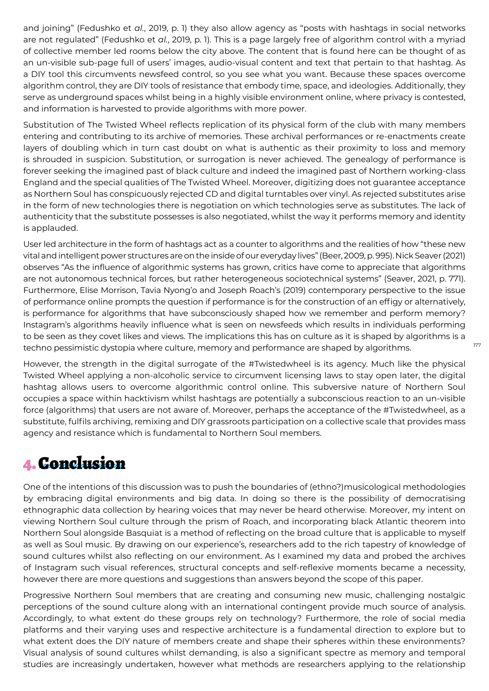and joining" (Fedushko et *al.*, 2019, p. 1) they also allow agency as "posts with hashtags in social networks are not regulated" (Fedushko et *al.*, 2019, p. 1). This is a page largely free of algorithm control with a myriad of collective member led rooms below the city above. The content that is found here can be thought of as an un-visible sub-page full of users' images, audio-visual content and text that pertain to that hashtag. As a DIY tool this circumvents newsfeed control, so you see what you want. Because these spaces overcome algorithm control, they are DIY tools of resistance that embody time, space, and ideologies. Additionally, they serve as underground spaces whilst being in a highly visible environment online, where privacy is contested, and information is harvested to provide algorithms with more power.

Substitution of The Twisted Wheel reflects replication of its physical form of the club with many members entering and contributing to its archive of memories. These archival performances or re-enactments create layers of doubling which in turn cast doubt on what is authentic as their proximity to loss and memory is shrouded in suspicion. Substitution, or surrogation is never achieved. The genealogy of performance is forever seeking the imagined past of black culture and indeed the imagined past of Northern working-class England and the special qualities of The Twisted Wheel. Moreover, digitizing does not guarantee acceptance as Northern Soul has conspicuously rejected CD and digital turntables over vinyl. As rejected substitutes arise in the form of new technologies there is negotiation on which technologies serve as substitutes. The lack of authenticity that the substitute possesses is also negotiated, whilst the way it performs memory and identity is applauded.

User led architecture in the form of hashtags act as a counter to algorithms and the realities of how "these new vital and intelligent power structures are on the inside of our everyday lives" (Beer, 2009, p. 995). Nick Seaver (2021) observes "As the influence of algorithmic systems has grown, critics have come to appreciate that algorithms are not autonomous technical forces, but rather heterogeneous sociotechnical systems" (Seaver, 2021, p. 771). Furthermore, Elise Morrison, Tavia Nyong'o and Joseph Roach's (2019) contemporary perspective to the issue of performance online prompts the question if performance is for the construction of an effigy or alternatively, is performance for algorithms that have subconsciously shaped how we remember and perform memory? Instagram's algorithms heavily influence what is seen on newsfeeds which results in individuals performing to be seen as they covet likes and views. The implications this has on culture as it is shaped by algorithms is a techno pessimistic dystopia where culture, memory and performance are shaped by algorithms.

However, the strength in the digital surrogate of the #Twistedwheel is its agency. Much like the physical Twisted Wheel applying a non-alcoholic service to circumvent licensing laws to stay open later, the digital hashtag allows users to overcome algorithmic control online. This subversive nature of Northern Soul occupies a space within hacktivism whilst hashtags are potentially a subconscious reaction to an un-visible force (algorithms) that users are not aware of. Moreover, perhaps the acceptance of the #Twistedwheel, as a substitute, fulfils archiving, remixing and DIY grassroots participation on a collective scale that provides mass agency and resistance which is fundamental to Northern Soul members.

# 4. Conclusion

One of the intentions of this discussion was to push the boundaries of (ethno?)musicological methodologies by embracing digital environments and big data. In doing so there is the possibility of democratising ethnographic data collection by hearing voices that may never be heard otherwise. Moreover, my intent on viewing Northern Soul culture through the prism of Roach, and incorporating black Atlantic theorem into Northern Soul alongside Basquiat is a method of reflecting on the broad culture that is applicable to myself as well as Soul music. By drawing on our experience's, researchers add to the rich tapestry of knowledge of sound cultures whilst also reflecting on our environment. As I examined my data and probed the archives of Instagram such visual references, structural concepts and self-reflexive moments became a necessity, however there are more questions and suggestions than answers beyond the scope of this paper.

Progressive Northern Soul members that are creating and consuming new music, challenging nostalgic perceptions of the sound culture along with an international contingent provide much source of analysis. Accordingly, to what extent do these groups rely on technology? Furthermore, the role of social media platforms and their varying uses and respective architecture is a fundamental direction to explore but to what extent does the DIY nature of members create and shape their spheres within these environments? Visual analysis of sound cultures whilst demanding, is also a significant spectre as memory and temporal studies are increasingly undertaken, however what methods are researchers applying to the relationship